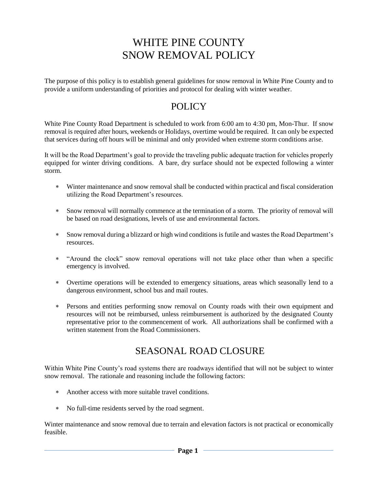# WHITE PINE COUNTY SNOW REMOVAL POLICY

The purpose of this policy is to establish general guidelines for snow removal in White Pine County and to provide a uniform understanding of priorities and protocol for dealing with winter weather.

#### POLICY

White Pine County Road Department is scheduled to work from 6:00 am to 4:30 pm, Mon-Thur. If snow removal is required after hours, weekends or Holidays, overtime would be required. It can only be expected that services during off hours will be minimal and only provided when extreme storm conditions arise.

It will be the Road Department's goal to provide the traveling public adequate traction for vehicles properly equipped for winter driving conditions. A bare, dry surface should not be expected following a winter storm.

- Winter maintenance and snow removal shall be conducted within practical and fiscal consideration utilizing the Road Department's resources.
- Snow removal will normally commence at the termination of a storm. The priority of removal will be based on road designations, levels of use and environmental factors.
- Snow removal during a blizzard or high wind conditions is futile and wastes the Road Department's resources.
- "Around the clock" snow removal operations will not take place other than when a specific emergency is involved.
- Overtime operations will be extended to emergency situations, areas which seasonally lend to a dangerous environment, school bus and mail routes.
- Persons and entities performing snow removal on County roads with their own equipment and resources will not be reimbursed, unless reimbursement is authorized by the designated County representative prior to the commencement of work. All authorizations shall be confirmed with a written statement from the Road Commissioners.

### SEASONAL ROAD CLOSURE

Within White Pine County's road systems there are roadways identified that will not be subject to winter snow removal. The rationale and reasoning include the following factors:

- Another access with more suitable travel conditions.
- No full-time residents served by the road segment.

Winter maintenance and snow removal due to terrain and elevation factors is not practical or economically feasible.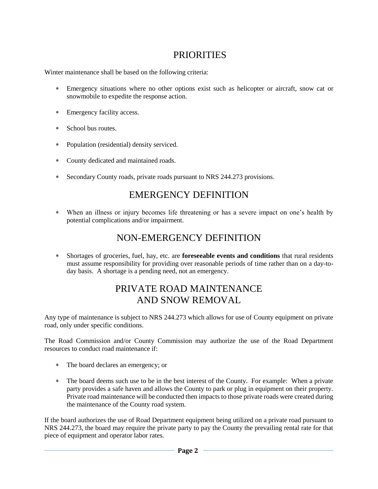## PRIORITIES

Winter maintenance shall be based on the following criteria:

- Emergency situations where no other options exist such as helicopter or aircraft, snow cat or snowmobile to expedite the response action.
- Emergency facility access.
- School bus routes.
- Population (residential) density serviced.
- County dedicated and maintained roads.
- Secondary County roads, private roads pursuant to NRS 244.273 provisions.

#### EMERGENCY DEFINITION

 When an illness or injury becomes life threatening or has a severe impact on one's health by potential complications and/or impairment.

#### NON-EMERGENCY DEFINITION

 Shortages of groceries, fuel, hay, etc. are **foreseeable events and conditions** that rural residents must assume responsibility for providing over reasonable periods of time rather than on a day-today basis. A shortage is a pending need, not an emergency.

### PRIVATE ROAD MAINTENANCE AND SNOW REMOVAL

Any type of maintenance is subject to NRS 244.273 which allows for use of County equipment on private road, only under specific conditions.

The Road Commission and/or County Commission may authorize the use of the Road Department resources to conduct road maintenance if:

- The board declares an emergency; or
- The board deems such use to be in the best interest of the County. For example: When a private party provides a safe haven and allows the County to park or plug in equipment on their property. Private road maintenance will be conducted then impacts to those private roads were created during the maintenance of the County road system.

If the board authorizes the use of Road Department equipment being utilized on a private road pursuant to NRS 244.273, the board may require the private party to pay the County the prevailing rental rate for that piece of equipment and operator labor rates.